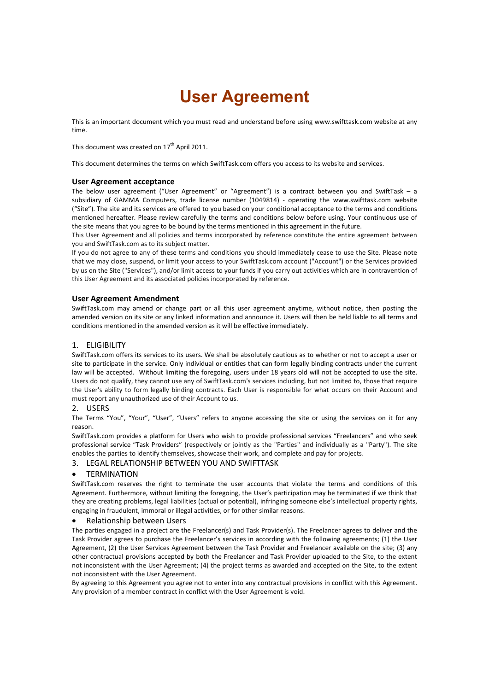# **User Agreement**

This is an important document which you must read and understand before using www.swifttask.com website at any time.

This document was created on  $17<sup>th</sup>$  April 2011.

This document determines the terms on which SwiftTask.com offers you access to its website and services.

# **User Agreement acceptance**

The below user agreement ("User Agreement" or "Agreement") is a contract between you and SwiftTask – a subsidiary of GAMMA Computers, trade license number (1049814) - operating the www.swifttask.com website ("Site"). The site and its services are offered to you based on your conditional acceptance to the terms and conditions mentioned hereafter. Please review carefully the terms and conditions below before using. Your continuous use of the site means that you agree to be bound by the terms mentioned in this agreement in the future.

This User Agreement and all policies and terms incorporated by reference constitute the entire agreement between you and SwiftTask.com as to its subject matter.

If you do not agree to any of these terms and conditions you should immediately cease to use the Site. Please note that we may close, suspend, or limit your access to your SwiftTask.com account ("Account") or the Services provided by us on the Site ("Services"), and/or limit access to your funds if you carry out activities which are in contravention of this User Agreement and its associated policies incorporated by reference.

# **User Agreement Amendment**

SwiftTask.com may amend or change part or all this user agreement anytime, without notice, then posting the amended version on its site or any linked information and announce it. Users will then be held liable to all terms and conditions mentioned in the amended version as it will be effective immediately.

# 1. ELIGIBILITY

SwiftTask.com offers its services to its users. We shall be absolutely cautious as to whether or not to accept a user or site to participate in the service. Only individual or entities that can form legally binding contracts under the current law will be accepted. Without limiting the foregoing, users under 18 years old will not be accepted to use the site. Users do not qualify, they cannot use any of SwiftTask.com's services including, but not limited to, those that require the User's ability to form legally binding contracts. Each User is responsible for what occurs on their Account and must report any unauthorized use of their Account to us.

# 2. USERS

The Terms "You", "Your", "User", "Users" refers to anyone accessing the site or using the services on it for any reason.

SwiftTask.com provides a platform for Users who wish to provide professional services "Freelancers" and who seek professional service "Task Providers" (respectively or jointly as the "Parties" and individually as a "Party"). The site enables the parties to identify themselves, showcase their work, and complete and pay for projects.

# 3. LEGAL RELATIONSHIP BETWEEN YOU AND SWIFTTASK

# **TERMINATION**

SwiftTask.com reserves the right to terminate the user accounts that violate the terms and conditions of this Agreement. Furthermore, without limiting the foregoing, the User's participation may be terminated if we think that they are creating problems, legal liabilities (actual or potential), infringing someone else's intellectual property rights, engaging in fraudulent, immoral or illegal activities, or for other similar reasons.

# • Relationship between Users

The parties engaged in a project are the Freelancer(s) and Task Provider(s). The Freelancer agrees to deliver and the Task Provider agrees to purchase the Freelancer's services in according with the following agreements; (1) the User Agreement, (2) the User Services Agreement between the Task Provider and Freelancer available on the site; (3) any other contractual provisions accepted by both the Freelancer and Task Provider uploaded to the Site, to the extent not inconsistent with the User Agreement; (4) the project terms as awarded and accepted on the Site, to the extent not inconsistent with the User Agreement.

By agreeing to this Agreement you agree not to enter into any contractual provisions in conflict with this Agreement. Any provision of a member contract in conflict with the User Agreement is void.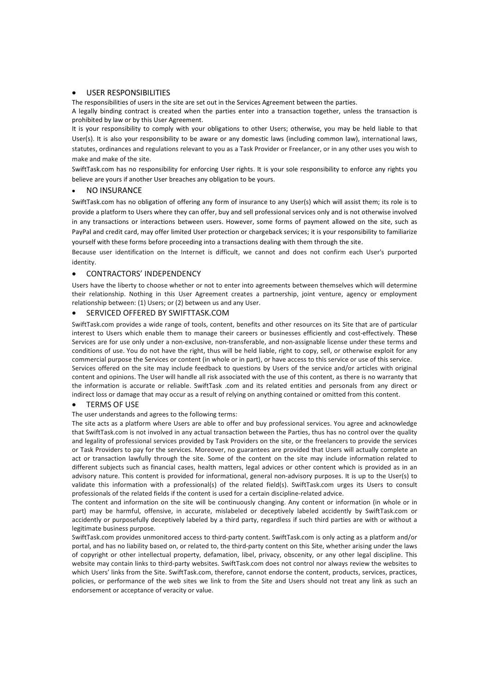## • USER RESPONSIBILITIES

The responsibilities of users in the site are set out in the Services Agreement between the parties.

A legally binding contract is created when the parties enter into a transaction together, unless the transaction is prohibited by law or by this User Agreement.

It is your responsibility to comply with your obligations to other Users; otherwise, you may be held liable to that User(s). It is also your responsibility to be aware or any domestic laws (including common law), international laws, statutes, ordinances and regulations relevant to you as a Task Provider or Freelancer, or in any other uses you wish to make and make of the site.

SwiftTask.com has no responsibility for enforcing User rights. It is your sole responsibility to enforce any rights you believe are yours if another User breaches any obligation to be yours.

#### **NO INSURANCE**

SwiftTask.com has no obligation of offering any form of insurance to any User(s) which will assist them; its role is to provide a platform to Users where they can offer, buy and sell professional services only and is not otherwise involved in any transactions or interactions between users. However, some forms of payment allowed on the site, such as PayPal and credit card, may offer limited User protection or chargeback services; it is your responsibility to familiarize yourself with these forms before proceeding into a transactions dealing with them through the site.

Because user identification on the Internet is difficult, we cannot and does not confirm each User's purported identity.

# • CONTRACTORS' INDEPENDENCY

Users have the liberty to choose whether or not to enter into agreements between themselves which will determine their relationship. Nothing in this User Agreement creates a partnership, joint venture, agency or employment relationship between: (1) Users; or (2) between us and any User.

# • SERVICED OFFERED BY SWIFTTASK.COM

SwiftTask.com provides a wide range of tools, content, benefits and other resources on its Site that are of particular interest to Users which enable them to manage their careers or businesses efficiently and cost-effectively. These Services are for use only under a non-exclusive, non-transferable, and non-assignable license under these terms and conditions of use. You do not have the right, thus will be held liable, right to copy, sell, or otherwise exploit for any commercial purpose the Services or content (in whole or in part), or have access to this service or use of this service. Services offered on the site may include feedback to questions by Users of the service and/or articles with original content and opinions. The User will handle all risk associated with the use of this content, as there is no warranty that the information is accurate or reliable. SwiftTask .com and its related entities and personals from any direct or indirect loss or damage that may occur as a result of relying on anything contained or omitted from this content.

#### **TERMS OF USE**

#### The user understands and agrees to the following terms:

The site acts as a platform where Users are able to offer and buy professional services. You agree and acknowledge that SwiftTask.com is not involved in any actual transaction between the Parties, thus has no control over the quality and legality of professional services provided by Task Providers on the site, or the freelancers to provide the services or Task Providers to pay for the services. Moreover, no guarantees are provided that Users will actually complete an act or transaction lawfully through the site. Some of the content on the site may include information related to different subjects such as financial cases, health matters, legal advices or other content which is provided as in an advisory nature. This content is provided for informational, general non-advisory purposes. It is up to the User(s) to validate this information with a professional(s) of the related field(s). SwiftTask.com urges its Users to consult professionals of the related fields if the content is used for a certain discipline-related advice.

The content and information on the site will be continuously changing. Any content or information (in whole or in part) may be harmful, offensive, in accurate, mislabeled or deceptively labeled accidently by SwiftTask.com or accidently or purposefully deceptively labeled by a third party, regardless if such third parties are with or without a legitimate business purpose.

SwiftTask.com provides unmonitored access to third-party content. SwiftTask.com is only acting as a platform and/or portal, and has no liability based on, or related to, the third-party content on this Site, whether arising under the laws of copyright or other intellectual property, defamation, libel, privacy, obscenity, or any other legal discipline. This website may contain links to third-party websites. SwiftTask.com does not control nor always review the websites to which Users' links from the Site. SwiftTask.com, therefore, cannot endorse the content, products, services, practices, policies, or performance of the web sites we link to from the Site and Users should not treat any link as such an endorsement or acceptance of veracity or value.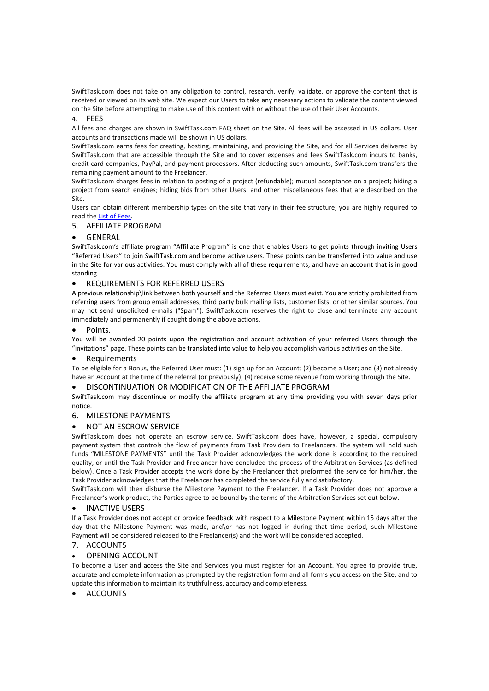SwiftTask.com does not take on any obligation to control, research, verify, validate, or approve the content that is received or viewed on its web site. We expect our Users to take any necessary actions to validate the content viewed on the Site before attempting to make use of this content with or without the use of their User Accounts.

## 4. FEES

All fees and charges are shown in SwiftTask.com FAQ sheet on the Site. All fees will be assessed in US dollars. User accounts and transactions made will be shown in US dollars.

SwiftTask.com earns fees for creating, hosting, maintaining, and providing the Site, and for all Services delivered by SwiftTask.com that are accessible through the Site and to cover expenses and fees SwiftTask.com incurs to banks, credit card companies, PayPal, and payment processors. After deducting such amounts, SwiftTask.com transfers the remaining payment amount to the Freelancer.

SwiftTask.com charges fees in relation to posting of a project (refundable); mutual acceptance on a project; hiding a project from search engines; hiding bids from other Users; and other miscellaneous fees that are described on the Site.

Users can obtain different membership types on the site that vary in their fee structure; you are highly required to read the List of Fees.

# 5. AFFILIATE PROGRAM

# • GENERAL

SwiftTask.com's affiliate program "Affiliate Program" is one that enables Users to get points through inviting Users "Referred Users" to join SwiftTask.com and become active users. These points can be transferred into value and use in the Site for various activities. You must comply with all of these requirements, and have an account that is in good standing.

# • REQUIREMENTS FOR REFERRED USERS

A previous relationship\link between both yourself and the Referred Users must exist. You are strictly prohibited from referring users from group email addresses, third party bulk mailing lists, customer lists, or other similar sources. You may not send unsolicited e-mails ("Spam"). SwiftTask.com reserves the right to close and terminate any account immediately and permanently if caught doing the above actions.

# • Points.

You will be awarded 20 points upon the registration and account activation of your referred Users through the "invitations" page. These points can be translated into value to help you accomplish various activities on the Site.

# **Requirements**

To be eligible for a Bonus, the Referred User must: (1) sign up for an Account; (2) become a User; and (3) not already have an Account at the time of the referral (or previously); (4) receive some revenue from working through the Site.

# • DISCONTINUATION OR MODIFICATION OF THE AFFILIATE PROGRAM

SwiftTask.com may discontinue or modify the affiliate program at any time providing you with seven days prior notice.

# 6. MILESTONE PAYMENTS

# • NOT AN ESCROW SERVICE

SwiftTask.com does not operate an escrow service. SwiftTask.com does have, however, a special, compulsory payment system that controls the flow of payments from Task Providers to Freelancers. The system will hold such funds "MILESTONE PAYMENTS" until the Task Provider acknowledges the work done is according to the required quality, or until the Task Provider and Freelancer have concluded the process of the Arbitration Services (as defined below). Once a Task Provider accepts the work done by the Freelancer that preformed the service for him/her, the Task Provider acknowledges that the Freelancer has completed the service fully and satisfactory.

SwiftTask.com will then disburse the Milestone Payment to the Freelancer. If a Task Provider does not approve a Freelancer's work product, the Parties agree to be bound by the terms of the Arbitration Services set out below.

# **INACTIVE USERS**

If a Task Provider does not accept or provide feedback with respect to a Milestone Payment within 15 days after the day that the Milestone Payment was made, and\or has not logged in during that time period, such Milestone Payment will be considered released to the Freelancer(s) and the work will be considered accepted.

# 7. ACCOUNTS

# • OPENING ACCOUNT

To become a User and access the Site and Services you must register for an Account. You agree to provide true, accurate and complete information as prompted by the registration form and all forms you access on the Site, and to update this information to maintain its truthfulness, accuracy and completeness.

# **ACCOUNTS**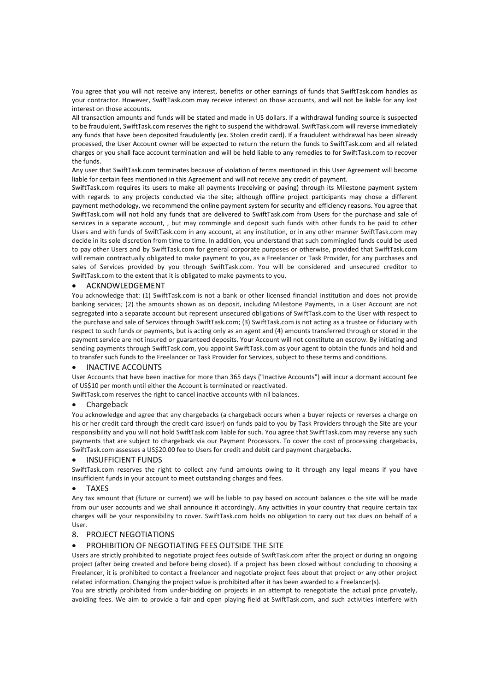You agree that you will not receive any interest, benefits or other earnings of funds that SwiftTask.com handles as your contractor. However, SwiftTask.com may receive interest on those accounts, and will not be liable for any lost interest on those accounts.

All transaction amounts and funds will be stated and made in US dollars. If a withdrawal funding source is suspected to be fraudulent, SwiftTask.com reserves the right to suspend the withdrawal. SwiftTask.com will reverse immediately any funds that have been deposited fraudulently (ex. Stolen credit card). If a fraudulent withdrawal has been already processed, the User Account owner will be expected to return the return the funds to SwiftTask.com and all related charges or you shall face account termination and will be held liable to any remedies to for SwiftTask.com to recover the funds.

Any user that SwiftTask.com terminates because of violation of terms mentioned in this User Agreement will become liable for certain fees mentioned in this Agreement and will not receive any credit of payment.

SwiftTask.com requires its users to make all payments (receiving or paying) through its Milestone payment system with regards to any projects conducted via the site; although offline project participants may chose a different payment methodology, we recommend the online payment system for security and efficiency reasons. You agree that SwiftTask.com will not hold any funds that are delivered to SwiftTask.com from Users for the purchase and sale of services in a separate account, , but may commingle and deposit such funds with other funds to be paid to other Users and with funds of SwiftTask.com in any account, at any institution, or in any other manner SwiftTask.com may decide in its sole discretion from time to time. In addition, you understand that such commingled funds could be used to pay other Users and by SwiftTask.com for general corporate purposes or otherwise, provided that SwiftTask.com will remain contractually obligated to make payment to you, as a Freelancer or Task Provider, for any purchases and sales of Services provided by you through SwiftTask.com. You will be considered and unsecured creditor to SwiftTask.com to the extent that it is obligated to make payments to you.

# • ACKNOWLEDGEMENT

You acknowledge that: (1) SwiftTask.com is not a bank or other licensed financial institution and does not provide banking services; (2) the amounts shown as on deposit, including Milestone Payments, in a User Account are not segregated into a separate account but represent unsecured obligations of SwiftTask.com to the User with respect to the purchase and sale of Services through SwiftTask.com; (3) SwiftTask.com is not acting as a trustee or fiduciary with respect to such funds or payments, but is acting only as an agent and (4) amounts transferred through or stored in the payment service are not insured or guaranteed deposits. Your Account will not constitute an escrow. By initiating and sending payments through SwiftTask.com, you appoint SwiftTask.com as your agent to obtain the funds and hold and to transfer such funds to the Freelancer or Task Provider for Services, subject to these terms and conditions.

#### • INACTIVE ACCOUNTS

User Accounts that have been inactive for more than 365 days ("Inactive Accounts") will incur a dormant account fee of US\$10 per month until either the Account is terminated or reactivated.

SwiftTask.com reserves the right to cancel inactive accounts with nil balances.

#### • Chargeback

You acknowledge and agree that any chargebacks (a chargeback occurs when a buyer rejects or reverses a charge on his or her credit card through the credit card issuer) on funds paid to you by Task Providers through the Site are your responsibility and you will not hold SwiftTask.com liable for such. You agree that SwiftTask.com may reverse any such payments that are subject to chargeback via our Payment Processors. To cover the cost of processing chargebacks, SwiftTask.com assesses a US\$20.00 fee to Users for credit and debit card payment chargebacks.

#### • INSUFFICIENT FUNDS

SwiftTask.com reserves the right to collect any fund amounts owing to it through any legal means if you have insufficient funds in your account to meet outstanding charges and fees.

#### • TAXES

Any tax amount that (future or current) we will be liable to pay based on account balances o the site will be made from our user accounts and we shall announce it accordingly. Any activities in your country that require certain tax charges will be your responsibility to cover. SwiftTask.com holds no obligation to carry out tax dues on behalf of a User.

# 8. PROJECT NEGOTIATIONS

# • PROHIBITION OF NEGOTIATING FEES OUTSIDE THE SITE

Users are strictly prohibited to negotiate project fees outside of SwiftTask.com after the project or during an ongoing project (after being created and before being closed). If a project has been closed without concluding to choosing a Freelancer, it is prohibited to contact a freelancer and negotiate project fees about that project or any other project related information. Changing the project value is prohibited after it has been awarded to a Freelancer(s).

You are strictly prohibited from under-bidding on projects in an attempt to renegotiate the actual price privately, avoiding fees. We aim to provide a fair and open playing field at SwiftTask.com, and such activities interfere with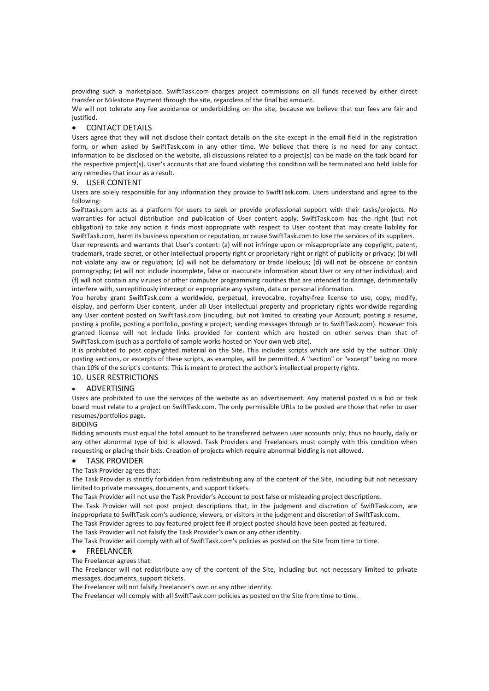providing such a marketplace. SwiftTask.com charges project commissions on all funds received by either direct transfer or Milestone Payment through the site, regardless of the final bid amount.

We will not tolerate any fee avoidance or underbidding on the site, because we believe that our fees are fair and justified.

# • CONTACT DETAILS

Users agree that they will not disclose their contact details on the site except in the email field in the registration form, or when asked by SwiftTask.com in any other time. We believe that there is no need for any contact information to be disclosed on the website, all discussions related to a project(s) can be made on the task board for the respective project(s). User's accounts that are found violating this condition will be terminated and held liable for any remedies that incur as a result.

#### 9. USER CONTENT

Users are solely responsible for any information they provide to SwiftTask.com. Users understand and agree to the following:

Swifttask.com acts as a platform for users to seek or provide professional support with their tasks/projects. No warranties for actual distribution and publication of User content apply. SwiftTask.com has the right (but not obligation) to take any action it finds most appropriate with respect to User content that may create liability for SwiftTask.com, harm its business operation or reputation, or cause SwiftTask.com to lose the services of its suppliers. User represents and warrants that User's content: (a) will not infringe upon or misappropriate any copyright, patent, trademark, trade secret, or other intellectual property right or proprietary right or right of publicity or privacy; (b) will not violate any law or regulation; (c) will not be defamatory or trade libelous; (d) will not be obscene or contain pornography; (e) will not include incomplete, false or inaccurate information about User or any other individual; and (f) will not contain any viruses or other computer programming routines that are intended to damage, detrimentally interfere with, surreptitiously intercept or expropriate any system, data or personal information.

You hereby grant SwiftTask.com a worldwide, perpetual, irrevocable, royalty-free license to use, copy, modify, display, and perform User content, under all User intellectual property and proprietary rights worldwide regarding any User content posted on SwiftTask.com (including, but not limited to creating your Account; posting a resume, posting a profile, posting a portfolio, posting a project; sending messages through or to SwiftTask.com). However this granted license will not include links provided for content which are hosted on other serves than that of SwiftTask.com (such as a portfolio of sample works hosted on Your own web site).

It is prohibited to post copyrighted material on the Site. This includes scripts which are sold by the author. Only posting sections, or excerpts of these scripts, as examples, will be permitted. A "section" or "excerpt" being no more than 10% of the script's contents. This is meant to protect the author's intellectual property rights.

# 10. USER RESTRICTIONS

#### • ADVERTISING

Users are prohibited to use the services of the website as an advertisement. Any material posted in a bid or task board must relate to a project on SwiftTask.com. The only permissible URLs to be posted are those that refer to user resumes/portfolios page.

## BIDDING

Bidding amounts must equal the total amount to be transferred between user accounts only; thus no hourly, daily or any other abnormal type of bid is allowed. Task Providers and Freelancers must comply with this condition when requesting or placing their bids. Creation of projects which require abnormal bidding is not allowed.

# • TASK PROVIDER

#### The Task Provider agrees that:

The Task Provider is strictly forbidden from redistributing any of the content of the Site, including but not necessary limited to private messages, documents, and support tickets.

The Task Provider will not use the Task Provider's Account to post false or misleading project descriptions.

The Task Provider will not post project descriptions that, in the judgment and discretion of SwiftTask.com, are inappropriate to SwiftTask.com's audience, viewers, or visitors in the judgment and discretion of SwiftTask.com.

The Task Provider agrees to pay featured project fee if project posted should have been posted as featured.

The Task Provider will not falsify the Task Provider's own or any other identity.

The Task Provider will comply with all of SwiftTask.com's policies as posted on the Site from time to time.

#### • FREELANCER

The Freelancer agrees that:

The Freelancer will not redistribute any of the content of the Site, including but not necessary limited to private messages, documents, support tickets.

The Freelancer will not falsify Freelancer's own or any other identity.

The Freelancer will comply with all SwiftTask.com policies as posted on the Site from time to time.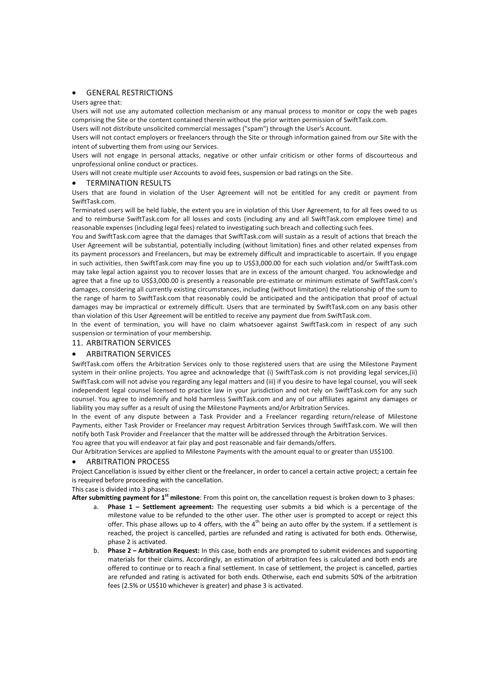# **GENERAL RESTRICTIONS**

#### Users agree that:

Users will not use any automated collection mechanism or any manual process to monitor or copy the web pages comprising the Site or the content contained therein without the prior written permission of SwiftTask.com. Users will not distribute unsolicited commercial messages ("spam") through the User's Account.

Users will not contact employers or freelancers through the Site or through information gained from our Site with the intent of subverting them from using our Services.

Users will not engage in personal attacks, negative or other unfair criticism or other forms of discourteous and unprofessional online conduct or practices.

Users will not create multiple user Accounts to avoid fees, suspension or bad ratings on the Site.

# • TERMINATION RESULTS

Users that are found in violation of the User Agreement will not be entitled for any credit or payment from SwiftTask.com.

Terminated users will be held liable, the extent you are in violation of this User Agreement, to for all fees owed to us and to reimburse SwiftTask.com for all losses and costs (including any and all SwiftTask.com employee time) and reasonable expenses (including legal fees) related to investigating such breach and collecting such fees.

You and SwiftTask.com agree that the damages that SwiftTask.com will sustain as a result of actions that breach the User Agreement will be substantial, potentially including (without limitation) fines and other related expenses from its payment processors and Freelancers, but may be extremely difficult and impracticable to ascertain. If you engage in such activities, then SwiftTask.com may fine you up to US\$3,000.00 for each such violation and/or SwiftTask.com may take legal action against you to recover losses that are in excess of the amount charged. You acknowledge and agree that a fine up to US\$3,000.00 is presently a reasonable pre-estimate or minimum estimate of SwiftTask.com's damages, considering all currently existing circumstances, including (without limitation) the relationship of the sum to the range of harm to SwiftTask.com that reasonably could be anticipated and the anticipation that proof of actual damages may be impractical or extremely difficult. Users that are terminated by SwiftTask.com on any basis other than violation of this User Agreement will be entitled to receive any payment due from SwiftTask.com.

In the event of termination, you will have no claim whatsoever against SwiftTask.com in respect of any such suspension or termination of your membership.

## 11. ARBITRATION SERVICES

# • ARBITRATION SERVICES

SwiftTask.com offers the Arbitration Services only to those registered users that are using the Milestone Payment system in their online projects. You agree and acknowledge that (i) SwiftTask.com is not providing legal services,(ii) SwiftTask.com will not advise you regarding any legal matters and (iii) if you desire to have legal counsel, you will seek independent legal counsel licensed to practice law in your jurisdiction and not rely on SwiftTask.com for any such counsel. You agree to indemnify and hold harmless SwiftTask.com and any of our affiliates against any damages or liability you may suffer as a result of using the Milestone Payments and/or Arbitration Services.

In the event of any dispute between a Task Provider and a Freelancer regarding return/release of Milestone Payments, either Task Provider or Freelancer may request Arbitration Services through SwiftTask.com. We will then notify both Task Provider and Freelancer that the matter will be addressed through the Arbitration Services. You agree that you will endeavor at fair play and post reasonable and fair demands/offers.

Our Arbitration Services are applied to Milestone Payments with the amount equal to or greater than US\$100.

#### • ARBITRATION PROCESS

Project Cancellation is issued by either client or the freelancer, in order to cancel a certain active project; a certain fee is required before proceeding with the cancellation.

# This case is divided into 3 phases:

**After submitting payment for 1st milestone**: From this point on, the cancellation request is broken down to 3 phases:

- a. **Phase 1 Settlement agreement:** The requesting user submits a bid which is a percentage of the milestone value to be refunded to the other user. The other user is prompted to accept or reject this offer. This phase allows up to 4 offers, with the  $4<sup>th</sup>$  being an auto offer by the system. If a settlement is reached, the project is cancelled, parties are refunded and rating is activated for both ends. Otherwise, phase 2 is activated.
- b. **Phase 2 Arbitration Request:** In this case, both ends are prompted to submit evidences and supporting materials for their claims. Accordingly, an estimation of arbitration fees is calculated and both ends are offered to continue or to reach a final settlement. In case of settlement, the project is cancelled, parties are refunded and rating is activated for both ends. Otherwise, each end submits 50% of the arbitration fees (2.5% or US\$10 whichever is greater) and phase 3 is activated.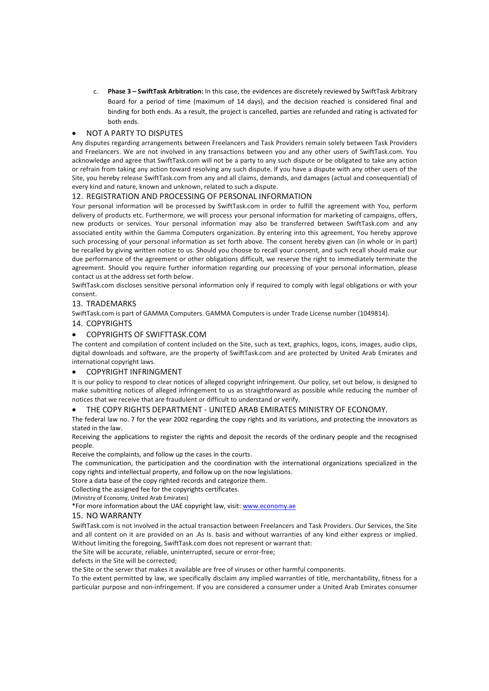c. **Phase 3 – SwiftTask Arbitration:** In this case, the evidences are discretely reviewed by SwiftTask Arbitrary Board for a period of time (maximum of 14 days), and the decision reached is considered final and binding for both ends. As a result, the project is cancelled, parties are refunded and rating is activated for both ends.

# • NOT A PARTY TO DISPUTES

Any disputes regarding arrangements between Freelancers and Task Providers remain solely between Task Providers and Freelancers. We are not involved in any transactions between you and any other users of SwiftTask.com. You acknowledge and agree that SwiftTask.com will not be a party to any such dispute or be obligated to take any action or refrain from taking any action toward resolving any such dispute. If you have a dispute with any other users of the Site, you hereby release SwiftTask.com from any and all claims, demands, and damages (actual and consequential) of every kind and nature, known and unknown, related to such a dispute.

# 12. REGISTRATION AND PROCESSING OF PERSONAL INFORMATION

Your personal information will be processed by SwiftTask.com in order to fulfill the agreement with You, perform delivery of products etc. Furthermore, we will process your personal information for marketing of campaigns, offers, new products or services. Your personal information may also be transferred between SwiftTask.com and any associated entity within the Gamma Computers organization. By entering into this agreement, You hereby approve such processing of your personal information as set forth above. The consent hereby given can (in whole or in part) be recalled by giving written notice to us. Should you choose to recall your consent, and such recall should make our due performance of the agreement or other obligations difficult, we reserve the right to immediately terminate the agreement. Should you require further information regarding our processing of your personal information, please contact us at the address set forth below.

SwiftTask.com discloses sensitive personal information only if required to comply with legal obligations or with your consent.

# 13. TRADEMARKS

SwiftTask.com is part of GAMMA Computers. GAMMA Computers is under Trade License number (1049814).

# 14. COPYRIGHTS

# • COPYRIGHTS OF SWIFTTASK.COM

The content and compilation of content included on the Site, such as text, graphics, logos, icons, images, audio clips, digital downloads and software, are the property of SwiftTask.com and are protected by United Arab Emirates and international copyright laws.

# • COPYRIGHT INFRINGMENT

It is our policy to respond to clear notices of alleged copyright infringement. Our policy, set out below, is designed to make submitting notices of alleged infringement to us as straightforward as possible while reducing the number of notices that we receive that are fraudulent or difficult to understand or verify.

# • THE COPY RIGHTS DEPARTMENT - UNITED ARAB EMIRATES MINISTRY OF ECONOMY.

The federal law no. 7 for the year 2002 regarding the copy rights and its variations, and protecting the innovators as stated in the law.

Receiving the applications to register the rights and deposit the records of the ordinary people and the recognised people.

Receive the complaints, and follow up the cases in the courts.

The communication, the participation and the coordination with the international organizations specialized in the copy rights and intellectual property, and follow up on the now legislations.

Store a data base of the copy righted records and categorize them.

Collecting the assigned fee for the copyrights certificates.

(Ministry of Economy, United Arab Emirates)

\*For more information about the UAE copyright law, visit: www.economy.ae

# 15. NO WARRANTY

SwiftTask.com is not involved in the actual transaction between Freelancers and Task Providers. Our Services, the Site and all content on it are provided on an .As Is. basis and without warranties of any kind either express or implied. Without limiting the foregoing, SwiftTask.com does not represent or warrant that:

the Site will be accurate, reliable, uninterrupted, secure or error-free;

defects in the Site will be corrected;

the Site or the server that makes it available are free of viruses or other harmful components.

To the extent permitted by law, we specifically disclaim any implied warranties of title, merchantability, fitness for a particular purpose and non-infringement. If you are considered a consumer under a United Arab Emirates consumer